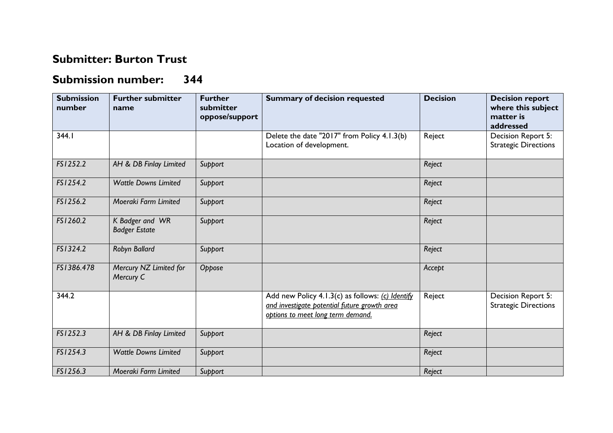## **Submitter: Burton Trust**

## **Submission number: 344**

| <b>Submission</b><br>number | <b>Further submitter</b><br>name        | <b>Further</b><br>submitter<br>oppose/support | <b>Summary of decision requested</b>                                                                                                  | <b>Decision</b> | <b>Decision report</b><br>where this subject<br>matter is<br>addressed |
|-----------------------------|-----------------------------------------|-----------------------------------------------|---------------------------------------------------------------------------------------------------------------------------------------|-----------------|------------------------------------------------------------------------|
| 344.1                       |                                         |                                               | Delete the date "2017" from Policy 4.1.3(b)<br>Location of development.                                                               | Reject          | Decision Report 5:<br><b>Strategic Directions</b>                      |
| FS1252.2                    | AH & DB Finlay Limited                  | Support                                       |                                                                                                                                       | Reject          |                                                                        |
| FS1254.2                    | <b>Wattle Downs Limited</b>             | Support                                       |                                                                                                                                       | Reject          |                                                                        |
| FS1256.2                    | Moeraki Farm Limited                    | Support                                       |                                                                                                                                       | Reject          |                                                                        |
| FS1260.2                    | K Badger and WR<br><b>Badger Estate</b> | Support                                       |                                                                                                                                       | Reject          |                                                                        |
| FS1324.2                    | Robyn Ballard                           | Support                                       |                                                                                                                                       | Reject          |                                                                        |
| FS1386.478                  | Mercury NZ Limited for<br>Mercury C     | Oppose                                        |                                                                                                                                       | Accept          |                                                                        |
| 344.2                       |                                         |                                               | Add new Policy 4.1.3(c) as follows: (c) Identify<br>and investigate potential future growth area<br>options to meet long term demand. | Reject          | Decision Report 5:<br><b>Strategic Directions</b>                      |
| FS1252.3                    | AH & DB Finlay Limited                  | Support                                       |                                                                                                                                       | Reject          |                                                                        |
| FS1254.3                    | <b>Wattle Downs Limited</b>             | Support                                       |                                                                                                                                       | Reject          |                                                                        |
| FS1256.3                    | Moeraki Farm Limited                    | Support                                       |                                                                                                                                       | Reject          |                                                                        |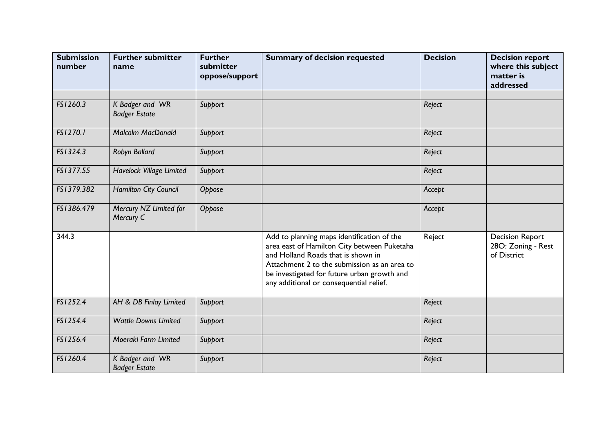| <b>Submission</b><br>number | <b>Further submitter</b><br>name        | <b>Further</b><br>submitter<br>oppose/support | <b>Summary of decision requested</b>                                                                                                                                                                                                                                      | <b>Decision</b> | <b>Decision report</b><br>where this subject<br>matter is<br>addressed |
|-----------------------------|-----------------------------------------|-----------------------------------------------|---------------------------------------------------------------------------------------------------------------------------------------------------------------------------------------------------------------------------------------------------------------------------|-----------------|------------------------------------------------------------------------|
| FS1260.3                    | K Badger and WR<br><b>Badger Estate</b> | Support                                       |                                                                                                                                                                                                                                                                           | Reject          |                                                                        |
| FS1270.1                    | <b>Malcolm MacDonald</b>                | Support                                       |                                                                                                                                                                                                                                                                           | Reject          |                                                                        |
| FS1324.3                    | Robyn Ballard                           | Support                                       |                                                                                                                                                                                                                                                                           | Reject          |                                                                        |
| FS1377.55                   | <b>Havelock Village Limited</b>         | Support                                       |                                                                                                                                                                                                                                                                           | Reject          |                                                                        |
| FS1379.382                  | <b>Hamilton City Council</b>            | Oppose                                        |                                                                                                                                                                                                                                                                           | Accept          |                                                                        |
| FS1386.479                  | Mercury NZ Limited for<br>Mercury C     | Oppose                                        |                                                                                                                                                                                                                                                                           | Accept          |                                                                        |
| 344.3                       |                                         |                                               | Add to planning maps identification of the<br>area east of Hamilton City between Puketaha<br>and Holland Roads that is shown in<br>Attachment 2 to the submission as an area to<br>be investigated for future urban growth and<br>any additional or consequential relief. | Reject          | <b>Decision Report</b><br>28O: Zoning - Rest<br>of District            |
| FS1252.4                    | AH & DB Finlay Limited                  | Support                                       |                                                                                                                                                                                                                                                                           | Reject          |                                                                        |
| FS1254.4                    | <b>Wattle Downs Limited</b>             | Support                                       |                                                                                                                                                                                                                                                                           | Reject          |                                                                        |
| FS1256.4                    | Moeraki Farm Limited                    | Support                                       |                                                                                                                                                                                                                                                                           | Reject          |                                                                        |
| FS1260.4                    | K Badger and WR<br><b>Badger Estate</b> | Support                                       |                                                                                                                                                                                                                                                                           | Reject          |                                                                        |